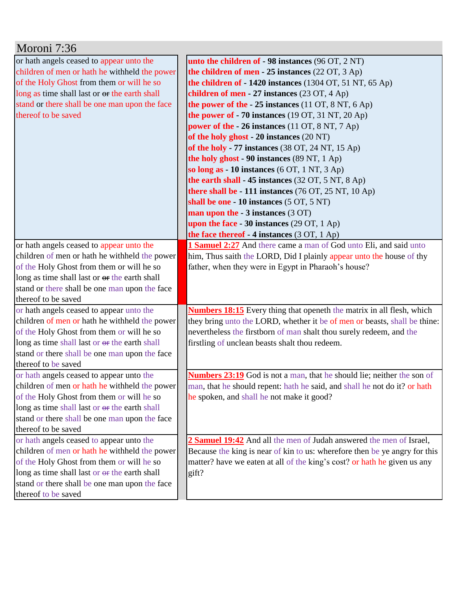| Moroni 7:36                                   |                                                                                |
|-----------------------------------------------|--------------------------------------------------------------------------------|
| or hath angels ceased to appear unto the      | unto the children of - 98 instances (96 OT, 2 NT)                              |
| children of men or hath he withheld the power | the children of men $-25$ instances (22 OT, 3 Ap)                              |
| of the Holy Ghost from them or will he so     | the children of $-1420$ instances (1304 OT, 51 NT, 65 Ap)                      |
| long as time shall last or or the earth shall | children of men - 27 instances $(23 \text{ OT}, 4 \text{ Ap})$                 |
| stand or there shall be one man upon the face | the power of the $-25$ instances (11 OT, 8 NT, 6 Ap)                           |
| thereof to be saved                           | the power of $-70$ instances (19 OT, 31 NT, 20 Ap)                             |
|                                               | power of the $-26$ instances (11 OT, 8 NT, 7 Ap)                               |
|                                               | of the holy ghost - 20 instances (20 NT)                                       |
|                                               | of the holy - 77 instances (38 OT, 24 NT, 15 Ap)                               |
|                                               | the holy ghost - 90 instances (89 NT, 1 Ap)                                    |
|                                               | so long as $-10$ instances (6 OT, 1 NT, 3 Ap)                                  |
|                                               | the earth shall - 45 instances $(32 \text{ OT}, 5 \text{ NT}, 8 \text{ Ap})$   |
|                                               | there shall be - 111 instances $(76 \text{ OT}, 25 \text{ NT}, 10 \text{ Ap})$ |
|                                               | shall be one - 10 instances (5 OT, 5 NT)                                       |
|                                               | man upon the - 3 instances (3 OT)                                              |
|                                               | upon the face - 30 instances $(29 \text{ OT}, 1 \text{ Ap})$                   |
|                                               | the face thereof $-4$ instances (3 OT, 1 Ap)                                   |
| or hath angels ceased to appear unto the      | 1 Samuel 2:27 And there came a man of God unto Eli, and said unto              |
| children of men or hath he withheld the power | him, Thus saith the LORD, Did I plainly appear unto the house of thy           |
| of the Holy Ghost from them or will he so     | father, when they were in Egypt in Pharaoh's house?                            |
| long as time shall last or or the earth shall |                                                                                |
| stand or there shall be one man upon the face |                                                                                |
| thereof to be saved                           |                                                                                |
| or hath angels ceased to appear unto the      | <b>Numbers 18:15</b> Every thing that openeth the matrix in all flesh, which   |
| children of men or hath he withheld the power | they bring unto the LORD, whether it be of men or beasts, shall be thine:      |
| of the Holy Ghost from them or will he so     | nevertheless the firstborn of man shalt thou surely redeem, and the            |
| long as time shall last or or the earth shall | firstling of unclean beasts shalt thou redeem.                                 |
| stand or there shall be one man upon the face |                                                                                |
| thereof to be saved                           |                                                                                |
| or hath angels ceased to appear unto the      | <b>Numbers 23:19</b> God is not a man, that he should lie; neither the son of  |
| children of men or hath he withheld the power | man, that he should repent: hath he said, and shall he not do it? or hath      |
| of the Holy Ghost from them or will he so     | he spoken, and shall he not make it good?                                      |
| long as time shall last or or the earth shall |                                                                                |
| stand or there shall be one man upon the face |                                                                                |
| thereof to be saved                           |                                                                                |
| or hath angels ceased to appear unto the      | 2 Samuel 19:42 And all the men of Judah answered the men of Israel,            |
| children of men or hath he withheld the power | Because the king is near of kin to us: wherefore then be ye angry for this     |
| of the Holy Ghost from them or will he so     | matter? have we eaten at all of the king's cost? or hath he given us any       |
| long as time shall last or or the earth shall | gift?                                                                          |
| stand or there shall be one man upon the face |                                                                                |
| thereof to be saved                           |                                                                                |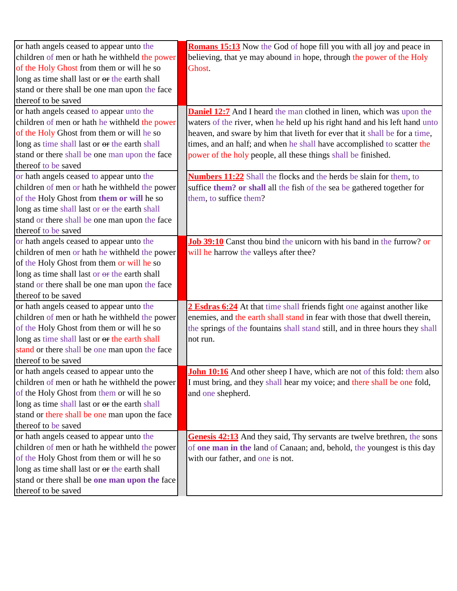| or hath angels ceased to appear unto the      | Romans 15:13 Now the God of hope fill you with all joy and peace in             |
|-----------------------------------------------|---------------------------------------------------------------------------------|
| children of men or hath he withheld the power | believing, that ye may abound in hope, through the power of the Holy            |
| of the Holy Ghost from them or will he so     | Ghost.                                                                          |
| long as time shall last or or the earth shall |                                                                                 |
| stand or there shall be one man upon the face |                                                                                 |
| thereof to be saved                           |                                                                                 |
| or hath angels ceased to appear unto the      | <b>Daniel 12:7</b> And I heard the man clothed in linen, which was upon the     |
| children of men or hath he withheld the power | waters of the river, when he held up his right hand and his left hand unto      |
| of the Holy Ghost from them or will he so     | heaven, and sware by him that liveth for ever that it shall be for a time,      |
| long as time shall last or or the earth shall | times, and an half; and when he shall have accomplished to scatter the          |
| stand or there shall be one man upon the face | power of the holy people, all these things shall be finished.                   |
| thereof to be saved                           |                                                                                 |
| or hath angels ceased to appear unto the      | <b>Numbers 11:22</b> Shall the flocks and the herds be slain for them, to       |
| children of men or hath he withheld the power | suffice them? or shall all the fish of the sea be gathered together for         |
| of the Holy Ghost from them or will he so     | them, to suffice them?                                                          |
| long as time shall last or or the earth shall |                                                                                 |
| stand or there shall be one man upon the face |                                                                                 |
| thereof to be saved                           |                                                                                 |
| or hath angels ceased to appear unto the      | <b>Job 39:10</b> Canst thou bind the unicorn with his band in the furrow? or    |
| children of men or hath he withheld the power | will he harrow the valleys after thee?                                          |
| of the Holy Ghost from them or will he so     |                                                                                 |
| long as time shall last or or the earth shall |                                                                                 |
| stand or there shall be one man upon the face |                                                                                 |
| thereof to be saved                           |                                                                                 |
| or hath angels ceased to appear unto the      | 2 Esdras 6:24 At that time shall friends fight one against another like         |
| children of men or hath he withheld the power | enemies, and the earth shall stand in fear with those that dwell therein,       |
| of the Holy Ghost from them or will he so     | the springs of the fountains shall stand still, and in three hours they shall   |
| long as time shall last or or the earth shall | not run.                                                                        |
| stand or there shall be one man upon the face |                                                                                 |
| thereof to be saved                           |                                                                                 |
| or hath angels ceased to appear unto the      | <b>John 10:16</b> And other sheep I have, which are not of this fold: them also |
| children of men or hath he withheld the power | I must bring, and they shall hear my voice; and there shall be one fold,        |
| of the Holy Ghost from them or will he so     | and one shepherd.                                                               |
| long as time shall last or or the earth shall |                                                                                 |
| stand or there shall be one man upon the face |                                                                                 |
| thereof to be saved                           |                                                                                 |
| or hath angels ceased to appear unto the      | Genesis 42:13 And they said, Thy servants are twelve brethren, the sons         |
| children of men or hath he withheld the power | of one man in the land of Canaan; and, behold, the youngest is this day         |
| of the Holy Ghost from them or will he so     | with our father, and one is not.                                                |
| long as time shall last or or the earth shall |                                                                                 |
| stand or there shall be one man upon the face |                                                                                 |
| thereof to be saved                           |                                                                                 |